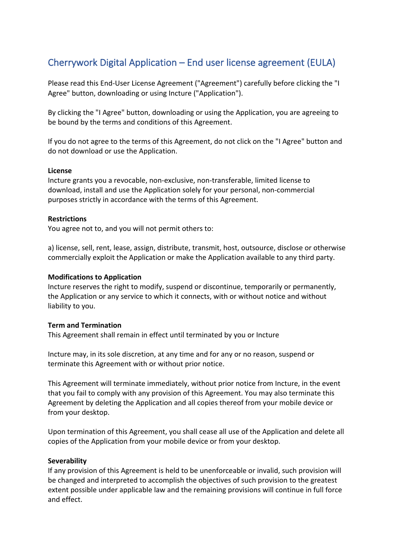# Cherrywork Digital Application – End user license agreement (EULA)

Please read this End-User License Agreement ("Agreement") carefully before clicking the "I Agree" button, downloading or using Incture ("Application").

By clicking the "I Agree" button, downloading or using the Application, you are agreeing to be bound by the terms and conditions of this Agreement.

If you do not agree to the terms of this Agreement, do not click on the "I Agree" button and do not download or use the Application.

### **License**

Incture grants you a revocable, non-exclusive, non-transferable, limited license to download, install and use the Application solely for your personal, non-commercial purposes strictly in accordance with the terms of this Agreement.

### **Restrictions**

You agree not to, and you will not permit others to:

a) license, sell, rent, lease, assign, distribute, transmit, host, outsource, disclose or otherwise commercially exploit the Application or make the Application available to any third party.

### **Modifications to Application**

Incture reserves the right to modify, suspend or discontinue, temporarily or permanently, the Application or any service to which it connects, with or without notice and without liability to you.

### **Term and Termination**

This Agreement shall remain in effect until terminated by you or Incture

Incture may, in its sole discretion, at any time and for any or no reason, suspend or terminate this Agreement with or without prior notice.

This Agreement will terminate immediately, without prior notice from Incture, in the event that you fail to comply with any provision of this Agreement. You may also terminate this Agreement by deleting the Application and all copies thereof from your mobile device or from your desktop.

Upon termination of this Agreement, you shall cease all use of the Application and delete all copies of the Application from your mobile device or from your desktop.

### **Severability**

If any provision of this Agreement is held to be unenforceable or invalid, such provision will be changed and interpreted to accomplish the objectives of such provision to the greatest extent possible under applicable law and the remaining provisions will continue in full force and effect.